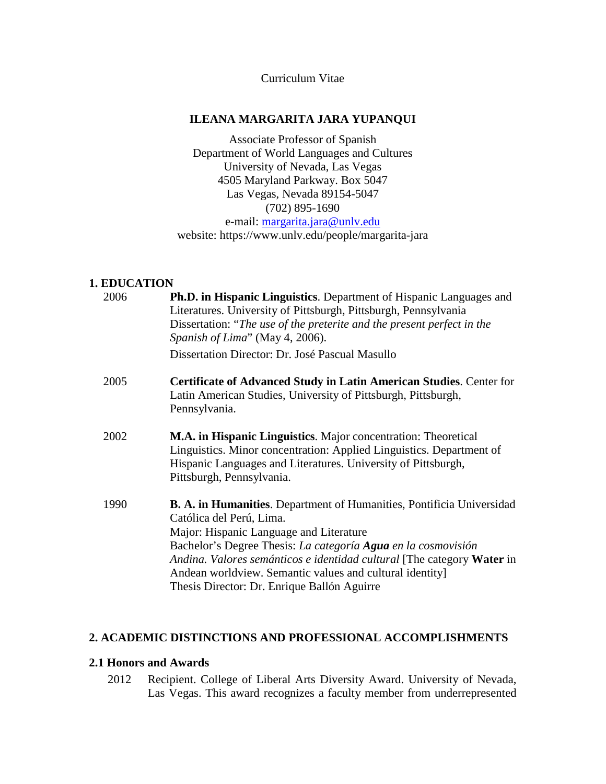Curriculum Vitae

## **ILEANA MARGARITA JARA YUPANQUI**

Associate Professor of Spanish Department of World Languages and Cultures University of Nevada, Las Vegas 4505 Maryland Parkway. Box 5047 Las Vegas, Nevada 89154-5047 (702) 895-1690 e-mail: [margarita.jara@unlv.edu](mailto:margarita.jara@unlv.edu) website: https://www.unlv.edu/people/margarita-jara

# **1. EDUCATION**

| 2006 | Ph.D. in Hispanic Linguistics. Department of Hispanic Languages and<br>Literatures. University of Pittsburgh, Pittsburgh, Pennsylvania<br>Dissertation: "The use of the preterite and the present perfect in the<br>Spanish of Lima" (May 4, 2006).                                                                                                                                                      |
|------|----------------------------------------------------------------------------------------------------------------------------------------------------------------------------------------------------------------------------------------------------------------------------------------------------------------------------------------------------------------------------------------------------------|
|      | Dissertation Director: Dr. José Pascual Masullo                                                                                                                                                                                                                                                                                                                                                          |
| 2005 | <b>Certificate of Advanced Study in Latin American Studies. Center for</b><br>Latin American Studies, University of Pittsburgh, Pittsburgh,<br>Pennsylvania.                                                                                                                                                                                                                                             |
| 2002 | M.A. in Hispanic Linguistics. Major concentration: Theoretical<br>Linguistics. Minor concentration: Applied Linguistics. Department of<br>Hispanic Languages and Literatures. University of Pittsburgh,<br>Pittsburgh, Pennsylvania.                                                                                                                                                                     |
| 1990 | <b>B. A. in Humanities.</b> Department of Humanities, Pontificia Universidad<br>Católica del Perú, Lima.<br>Major: Hispanic Language and Literature<br>Bachelor's Degree Thesis: La categoría Agua en la cosmovisión<br>Andina. Valores semánticos e identidad cultural [The category Water in<br>Andean worldview. Semantic values and cultural identity<br>Thesis Director: Dr. Enrique Ballón Aguirre |

# **2. ACADEMIC DISTINCTIONS AND PROFESSIONAL ACCOMPLISHMENTS**

## **2.1 Honors and Awards**

2012 Recipient. College of Liberal Arts Diversity Award. University of Nevada, Las Vegas. This award recognizes a faculty member from underrepresented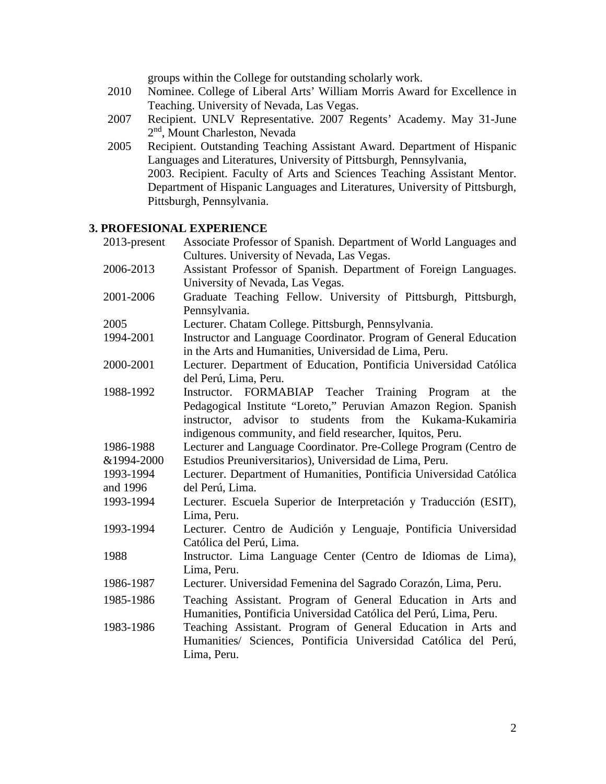groups within the College for outstanding scholarly work.

- 2010 Nominee. College of Liberal Arts' William Morris Award for Excellence in Teaching. University of Nevada, Las Vegas.
- 2007 Recipient. UNLV Representative. 2007 Regents' Academy. May 31-June 2<sup>nd</sup>, Mount Charleston, Nevada
- 2005 Recipient. Outstanding Teaching Assistant Award. Department of Hispanic Languages and Literatures, University of Pittsburgh, Pennsylvania, 2003. Recipient. Faculty of Arts and Sciences Teaching Assistant Mentor. Department of Hispanic Languages and Literatures, University of Pittsburgh, Pittsburgh, Pennsylvania.

#### **3. PROFESIONAL EXPERIENCE** 2013-present Associate Professor of Spanish. Department of World Languages and

| Associate Professor of Spanish. Department of world Languages and   |
|---------------------------------------------------------------------|
| Cultures. University of Nevada, Las Vegas.                          |
| Assistant Professor of Spanish. Department of Foreign Languages.    |
| University of Nevada, Las Vegas.                                    |
| Graduate Teaching Fellow. University of Pittsburgh, Pittsburgh,     |
| Pennsylvania.                                                       |
| Lecturer. Chatam College. Pittsburgh, Pennsylvania.                 |
| Instructor and Language Coordinator. Program of General Education   |
| in the Arts and Humanities, Universidad de Lima, Peru.              |
| Lecturer. Department of Education, Pontificia Universidad Católica  |
| del Perú, Lima, Peru.                                               |
| Instructor. FORMABIAP Teacher Training Program<br>the<br>at         |
| Pedagogical Institute "Loreto," Peruvian Amazon Region. Spanish     |
| instructor, advisor to students from the Kukama-Kukamiria           |
| indigenous community, and field researcher, Iquitos, Peru.          |
| Lecturer and Language Coordinator. Pre-College Program (Centro de   |
| Estudios Preuniversitarios), Universidad de Lima, Peru.             |
| Lecturer. Department of Humanities, Pontificia Universidad Católica |
| del Perú, Lima.                                                     |
| Lecturer. Escuela Superior de Interpretación y Traducción (ESIT),   |
| Lima, Peru.                                                         |
| Lecturer. Centro de Audición y Lenguaje, Pontificia Universidad     |
| Católica del Perú, Lima.                                            |
| Instructor. Lima Language Center (Centro de Idiomas de Lima),       |
| Lima, Peru.                                                         |
| Lecturer. Universidad Femenina del Sagrado Corazón, Lima, Peru.     |
| Teaching Assistant. Program of General Education in Arts and        |
| Humanities, Pontificia Universidad Católica del Perú, Lima, Peru.   |
| Teaching Assistant. Program of General Education in Arts and        |
| Humanities/ Sciences, Pontificia Universidad Católica del Perú,     |
| Lima, Peru.                                                         |
|                                                                     |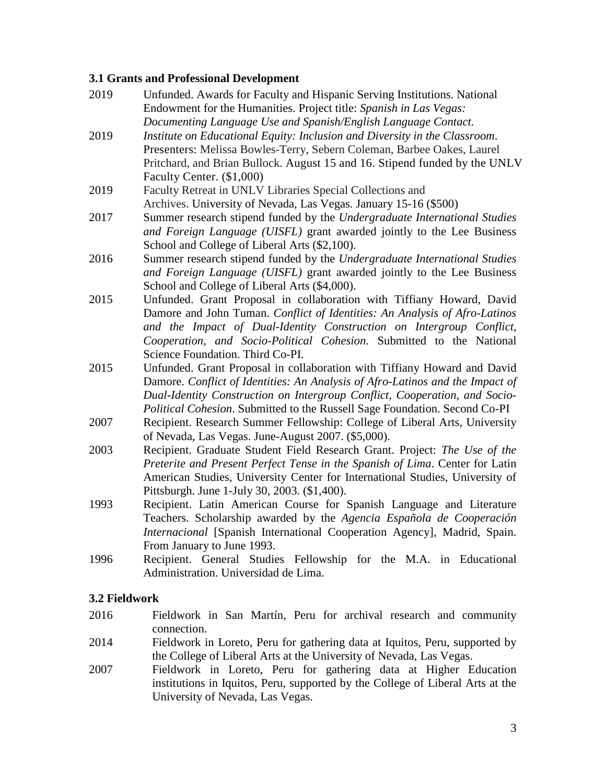## **3.1 Grants and Professional Development**

- 2019 Unfunded. Awards for Faculty and Hispanic Serving Institutions. National Endowment for the Humanities. Project title: *Spanish in Las Vegas: Documenting Language Use and Spanish/English Language Contact.*
- 2019 *Institute on Educational Equity: Inclusion and Diversity in the Classroom*. Presenters: Melissa Bowles-Terry, Sebern Coleman, Barbee Oakes, Laurel Pritchard, and Brian Bullock. August 15 and 16. Stipend funded by the UNLV Faculty Center. (\$1,000)
- 2019 Faculty Retreat in UNLV Libraries Special Collections and Archives. University of Nevada, Las Vegas. January 15-16 (\$500)
- 2017 Summer research stipend funded by the *Undergraduate International Studies and Foreign Language (UISFL)* grant awarded jointly to the Lee Business School and College of Liberal Arts (\$2,100).
- 2016 Summer research stipend funded by the *Undergraduate International Studies and Foreign Language (UISFL)* grant awarded jointly to the Lee Business School and College of Liberal Arts (\$4,000).
- 2015 Unfunded. Grant Proposal in collaboration with Tiffiany Howard, David Damore and John Tuman. *Conflict of Identities: An Analysis of Afro-Latinos and the Impact of Dual-Identity Construction on Intergroup Conflict, Cooperation, and Socio-Political Cohesion*. Submitted to the National Science Foundation. Third Co-PI.
- 2015 Unfunded. Grant Proposal in collaboration with Tiffiany Howard and David Damore. *Conflict of Identities: An Analysis of Afro-Latinos and the Impact of Dual-Identity Construction on Intergroup Conflict, Cooperation, and Socio-Political Cohesion*. Submitted to the Russell Sage Foundation. Second Co-PI
- 2007 Recipient. Research Summer Fellowship: College of Liberal Arts, University of Nevada, Las Vegas. June-August 2007. (\$5,000).
- 2003 Recipient. Graduate Student Field Research Grant. Project: *The Use of the Preterite and Present Perfect Tense in the Spanish of Lima*. Center for Latin American Studies, University Center for International Studies, University of Pittsburgh. June 1-July 30, 2003. (\$1,400).
- 1993 Recipient. Latin American Course for Spanish Language and Literature Teachers. Scholarship awarded by the *Agencia Española de Cooperación Internacional* [Spanish International Cooperation Agency]*,* Madrid, Spain. From January to June 1993.
- 1996 Recipient. General Studies Fellowship for the M.A. in Educational Administration. Universidad de Lima.

# **3.2 Fieldwork**

- 2016 Fieldwork in San Martín, Peru for archival research and community connection.
- 2014 Fieldwork in Loreto, Peru for gathering data at Iquitos, Peru, supported by the College of Liberal Arts at the University of Nevada, Las Vegas.
- 2007 Fieldwork in Loreto, Peru for gathering data at Higher Education institutions in Iquitos, Peru, supported by the College of Liberal Arts at the University of Nevada, Las Vegas.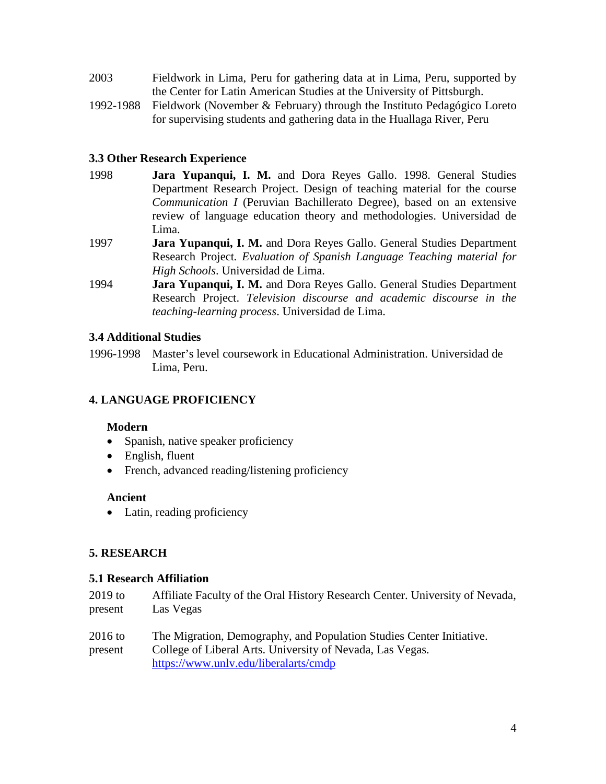| 2003 | Fieldwork in Lima, Peru for gathering data at in Lima, Peru, supported by |
|------|---------------------------------------------------------------------------|
|      | the Center for Latin American Studies at the University of Pittsburgh.    |

1992-1988 Fieldwork (November & February) through the Instituto Pedagógico Loreto for supervising students and gathering data in the Huallaga River, Peru

# **3.3 Other Research Experience**

- 1998 **Jara Yupanqui, I. M.** and Dora Reyes Gallo. 1998. General Studies Department Research Project. Design of teaching material for the course *Communication I* (Peruvian Bachillerato Degree), based on an extensive review of language education theory and methodologies. Universidad de Lima.
- 1997 **Jara Yupanqui, I. M.** and Dora Reyes Gallo. General Studies Department Research Project*. Evaluation of Spanish Language Teaching material for High Schools*. Universidad de Lima.
- 1994 **Jara Yupanqui, I. M.** and Dora Reyes Gallo. General Studies Department Research Project. *Television discourse and academic discourse in the teaching-learning process*. Universidad de Lima.

# **3.4 Additional Studies**

1996-1998 Master's level coursework in Educational Administration. Universidad de Lima, Peru.

# **4. LANGUAGE PROFICIENCY**

## **Modern**

- Spanish, native speaker proficiency
- English, fluent
- French, advanced reading/listening proficiency

## **Ancient**

• Latin, reading proficiency

## **5. RESEARCH**

## **5.1 Research Affiliation**

| 2019 to            | Affiliate Faculty of the Oral History Research Center. University of Nevada,                                                                                               |
|--------------------|----------------------------------------------------------------------------------------------------------------------------------------------------------------------------|
| present            | Las Vegas                                                                                                                                                                  |
| 2016 to<br>present | The Migration, Demography, and Population Studies Center Initiative.<br>College of Liberal Arts. University of Nevada, Las Vegas.<br>https://www.unlv.edu/liberalarts/cmdp |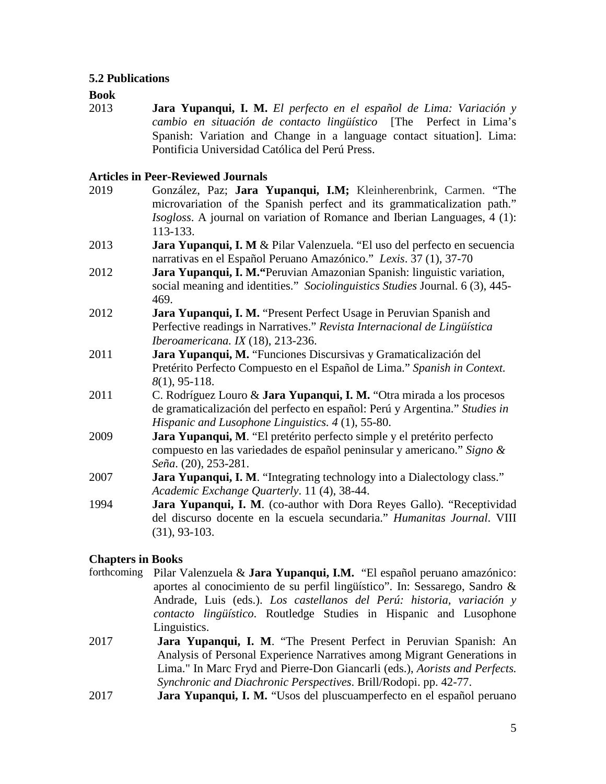## **5.2 Publications**

#### **Book**

2013 **Jara Yupanqui, I. M.** *El perfecto en el español de Lima: Variación y cambio en situación de contacto lingüístico* [The Perfect in Lima's Spanish: Variation and Change in a language contact situation]. Lima: Pontificia Universidad Católica del Perú Press.

#### **Articles in Peer-Reviewed Journals**

2019 González, Paz; **Jara Yupanqui, I.M;** Kleinherenbrink, Carmen. "The microvariation of the Spanish perfect and its grammaticalization path." *Isogloss*. A journal on variation of Romance and Iberian Languages, 4 (1): 113-133. 2013 **Jara Yupanqui, I. M** & Pilar Valenzuela. "El uso del perfecto en secuencia narrativas en el Español Peruano Amazónico." *Lexis*. 37 (1), 37-70 2012 **Jara Yupanqui, I. M."**Peruvian Amazonian Spanish: linguistic variation, social meaning and identities." *Sociolinguistics Studies* Journal. 6 (3), 445- 469. 2012 **Jara Yupanqui, I. M.** "Present Perfect Usage in Peruvian Spanish and Perfective readings in Narratives." *Revista Internacional de Lingüística Iberoamericana. IX* (18), 213-236. 2011 **Jara Yupanqui, M.** "Funciones Discursivas y Gramaticalización del Pretérito Perfecto Compuesto en el Español de Lima." *Spanish in Context. 8*(1), 95-118. 2011 C. Rodríguez Louro & **Jara Yupanqui, I. M.** "Otra mirada a los procesos de gramaticalización del perfecto en español: Perú y Argentina." *Studies in Hispanic and Lusophone Linguistics. 4* (1), 55-80. 2009 **Jara Yupanqui, M**. "El pretérito perfecto simple y el pretérito perfecto compuesto en las variedades de español peninsular y americano." *Signo & Seña*. (20), 253-281. 2007 **Jara Yupanqui, I. M**. "Integrating technology into a Dialectology class." *Academic Exchange Quarterly*. 11 (4), 38-44. 1994 **Jara Yupanqui, I. M**. (co-author with Dora Reyes Gallo). "Receptividad del discurso docente en la escuela secundaria." *Humanitas Journal*. VIII (31), 93-103.

## **Chapters in Books**

- forthcoming Pilar Valenzuela & **Jara Yupanqui, I.M.** "El español peruano amazónico: aportes al conocimiento de su perfil lingüístico". In: Sessarego, Sandro & Andrade, Luis (eds.). *Los castellanos del Perú: historia, variación y contacto lingüístico*. Routledge Studies in Hispanic and Lusophone Linguistics.
- 2017 **Jara Yupanqui, I. M**. "The Present Perfect in Peruvian Spanish: An Analysis of Personal Experience Narratives among Migrant Generations in Lima." In Marc Fryd and Pierre-Don Giancarli (eds.), *Aorists and Perfects. Synchronic and Diachronic Perspectives*. Brill/Rodopi. pp. 42-77.
- 2017 **Jara Yupanqui, I. M.** "Usos del pluscuamperfecto en el español peruano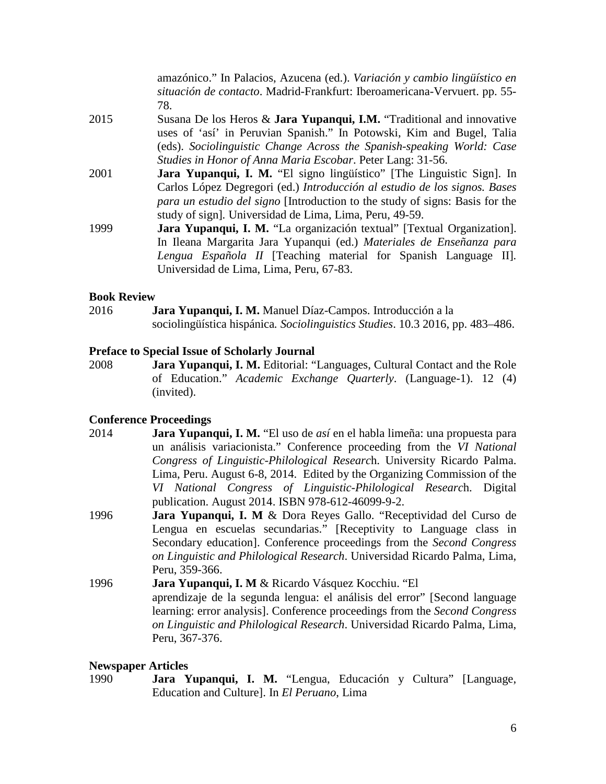amazónico." In Palacios, Azucena (ed.). *Variación y cambio lingüístico en situación de contacto*. Madrid-Frankfurt: Iberoamericana-Vervuert. pp. 55- 78.

- 2015 Susana De los Heros & **Jara Yupanqui, I.M.** "Traditional and innovative uses of 'así' in Peruvian Spanish." In Potowski, Kim and Bugel, Talia (eds). *Sociolinguistic Change Across the Spanish-speaking World: Case Studies in Honor of Anna Maria Escobar*. Peter Lang: 31-56.
- 2001 **Jara Yupanqui, I. M.** "El signo lingüístico" [The Linguistic Sign]. In Carlos López Degregori (ed.) *Introducción al estudio de los signos. Bases para un estudio del signo* [Introduction to the study of signs: Basis for the study of sign]*.* Universidad de Lima, Lima, Peru, 49-59.
- 1999 **Jara Yupanqui, I. M.** "La organización textual" [Textual Organization]. In Ileana Margarita Jara Yupanqui (ed.) *Materiales de Enseñanza para Lengua Española II* [Teaching material for Spanish Language II]*.* Universidad de Lima, Lima, Peru, 67-83.

#### **Book Review**

2016 **Jara Yupanqui, I. M.** Manuel Díaz-Campos. Introducción a la sociolingüística hispánica*. Sociolinguistics Studies*. 10.3 2016, pp. 483–486.

#### **Preface to Special Issue of Scholarly Journal**

2008 **Jara Yupanqui, I. M.** Editorial: "Languages, Cultural Contact and the Role of Education." *Academic Exchange Quarterly*. (Language-1). 12 (4) (invited).

#### **Conference Proceedings**

- 2014 **Jara Yupanqui, I. M.** "El uso de *así* en el habla limeña: una propuesta para un análisis variacionista." Conference proceeding from the *VI National Congress of Linguistic-Philological Researc*h. University Ricardo Palma. Lima, Peru. August 6-8, 2014. Edited by the Organizing Commission of the *VI National Congress of Linguistic-Philological Researc*h. Digital publication. August 2014. ISBN 978-612-46099-9-2.
- 1996 **Jara Yupanqui, I. M** & Dora Reyes Gallo. "Receptividad del Curso de Lengua en escuelas secundarias." [Receptivity to Language class in Secondary education]. Conference proceedings from the *Second Congress on Linguistic and Philological Research*. Universidad Ricardo Palma, Lima, Peru, 359-366.
- 1996 **Jara Yupanqui, I. M** & Ricardo Vásquez Kocchiu. "El aprendizaje de la segunda lengua: el análisis del error" [Second language learning: error analysis]. Conference proceedings from the *Second Congress on Linguistic and Philological Research*. Universidad Ricardo Palma, Lima, Peru, 367-376.

#### **Newspaper Articles**

1990 **Jara Yupanqui, I. M.** "Lengua, Educación y Cultura" [Language, Education and Culture]. In *El Peruano*, Lima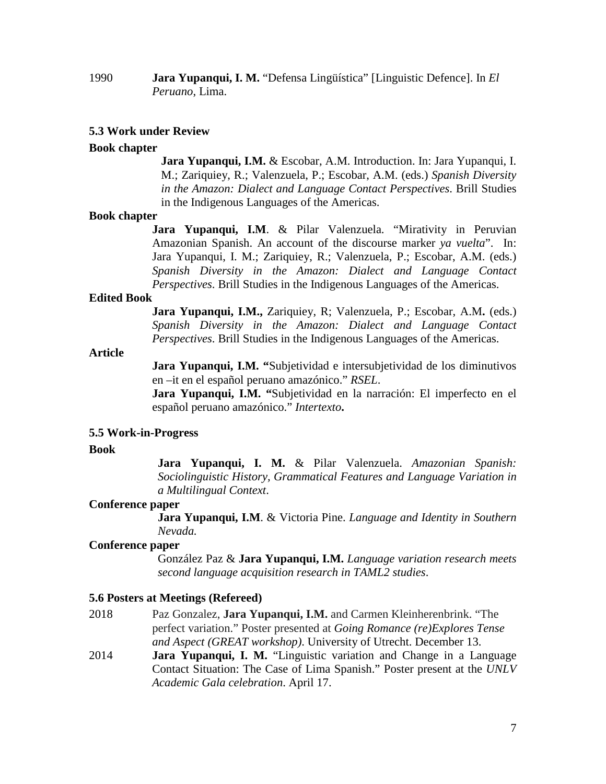## 1990 **Jara Yupanqui, I. M.** "Defensa Lingüística" [Linguistic Defence]. In *El Peruano*, Lima.

#### **5.3 Work under Review**

#### **Book chapter**

**Jara Yupanqui, I.M.** & Escobar, A.M. Introduction. In: Jara Yupanqui, I. M.; Zariquiey, R.; Valenzuela, P.; Escobar, A.M. (eds.) *Spanish Diversity in the Amazon: Dialect and Language Contact Perspectives*. Brill Studies in the Indigenous Languages of the Americas.

#### **Book chapter**

**Jara Yupanqui, I.M**. & Pilar Valenzuela. "Mirativity in Peruvian Amazonian Spanish. An account of the discourse marker *ya vuelta*". In: Jara Yupanqui, I. M.; Zariquiey, R.; Valenzuela, P.; Escobar, A.M. (eds.) *Spanish Diversity in the Amazon: Dialect and Language Contact Perspectives*. Brill Studies in the Indigenous Languages of the Americas.

#### **Edited Book**

**Jara Yupanqui, I.M.,** Zariquiey, R; Valenzuela, P.; Escobar, A.M**.** (eds.) *Spanish Diversity in the Amazon: Dialect and Language Contact Perspectives*. Brill Studies in the Indigenous Languages of the Americas.

#### **Article**

Jara Yupanqui, I.M. "Subjetividad e intersubjetividad de los diminutivos en –it en el español peruano amazónico." *RSEL*.

**Jara Yupanqui, I.M. "**Subjetividad en la narración: El imperfecto en el español peruano amazónico." *Intertexto***.**

#### **5.5 Work-in-Progress**

#### **Book**

**Jara Yupanqui, I. M.** & Pilar Valenzuela. *Amazonian Spanish: Sociolinguistic History, Grammatical Features and Language Variation in a Multilingual Context*.

#### **Conference paper**

**Jara Yupanqui, I.M**. & Victoria Pine. *Language and Identity in Southern Nevada.*

#### **Conference paper**

González Paz & **Jara Yupanqui, I.M.** *Language variation research meets second language acquisition research in TAML2 studies*.

#### **5.6 Posters at Meetings (Refereed)**

- 2018 Paz Gonzalez, **Jara Yupanqui, I.M.** and Carmen Kleinherenbrink. "The perfect variation." Poster presented at *Going Romance (re)Explores Tense and Aspect (GREAT workshop)*. University of Utrecht. December 13.
- 2014 **Jara Yupanqui, I. M.** "Linguistic variation and Change in a Language Contact Situation: The Case of Lima Spanish." Poster present at the *UNLV Academic Gala celebration*. April 17.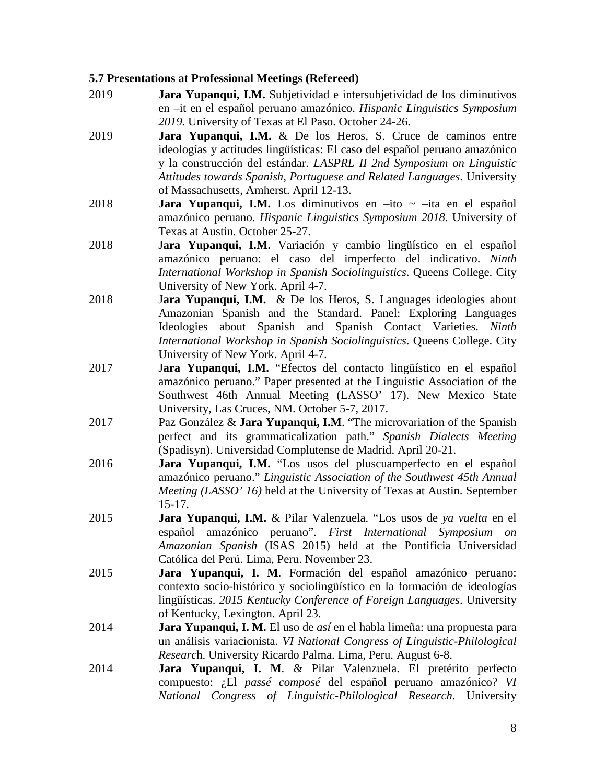#### **5.7 Presentations at Professional Meetings (Refereed)**

- 2019 **Jara Yupanqui, I.M.** Subjetividad e intersubjetividad de los diminutivos en –it en el español peruano amazónico. *Hispanic Linguistics Symposium 2019.* University of Texas at El Paso. October 24-26.
- 2019 **Jara Yupanqui, I.M.** & De los Heros, S. Cruce de caminos entre ideologías y actitudes lingüísticas: El caso del español peruano amazónico y la construcción del estándar. *LASPRL II 2nd Symposium on Linguistic Attitudes towards Spanish, Portuguese and Related Languages*. University of Massachusetts, Amherst. April 12-13.
- 2018 **Jara Yupanqui, I.M.** Los diminutivos en –ito ~ –ita en el español amazónico peruano. *Hispanic Linguistics Symposium 2018*. University of Texas at Austin. October 25-27.
- 2018 J**ara Yupanqui, I.M.** Variación y cambio lingüístico en el español amazónico peruano: el caso del imperfecto del indicativo. *Ninth International Workshop in Spanish Sociolinguistics*. Queens College. City University of New York. April 4-7.
- 2018 J**ara Yupanqui, I.M.** & De los Heros, S. Languages ideologies about Amazonian Spanish and the Standard. Panel: Exploring Languages Ideologies about Spanish and Spanish Contact Varieties. *Ninth International Workshop in Spanish Sociolinguistics*. Queens College. City University of New York. April 4-7.
- 2017 J**ara Yupanqui, I.M.** "Efectos del contacto lingüístico en el español amazónico peruano." Paper presented at the Linguistic Association of the Southwest 46th Annual Meeting (LASSO' 17). New Mexico State University, Las Cruces, NM. October 5-7, 2017.
- 2017 Paz González & **Jara Yupanqui, I.M**. "The microvariation of the Spanish perfect and its grammaticalization path." *Spanish Dialects Meeting*  (Spadisyn). Universidad Complutense de Madrid. April 20-21.
- 2016 **Jara Yupanqui, I.M.** "Los usos del pluscuamperfecto en el español amazónico peruano." *Linguistic Association of the Southwest 45th Annual Meeting (LASSO' 16)* held at the University of Texas at Austin. September 15-17.
- 2015 **Jara Yupanqui, I.M.** & Pilar Valenzuela. "Los usos de *ya vuelta* en el español amazónico peruano". *First International Symposium on Amazonian Spanish* (ISAS 2015) held at the Pontificia Universidad Católica del Perú. Lima, Peru. November 23.
- 2015 **Jara Yupanqui, I. M**. Formación del español amazónico peruano: contexto socio-histórico y sociolingüístico en la formación de ideologías lingüísticas. *2015 Kentucky Conference of Foreign Languages*. University of Kentucky, Lexington. April 23.
- 2014 **Jara Yupanqui, I. M.** El uso de *así* en el habla limeña: una propuesta para un análisis variacionista. *VI National Congress of Linguistic-Philological Researc*h. University Ricardo Palma. Lima, Peru. August 6-8.
- 2014 **Jara Yupanqui, I. M**. & Pilar Valenzuela. El pretérito perfecto compuesto: ¿El *passé composé* del español peruano amazónico? *VI National Congress of Linguistic-Philological Research*. University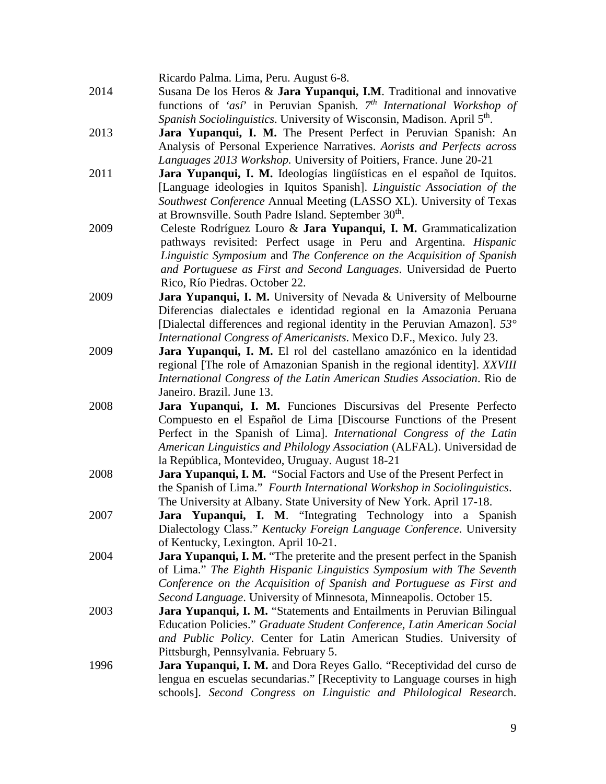Ricardo Palma. Lima, Peru. August 6-8.

- 2014 Susana De los Heros & **Jara Yupanqui, I.M**. Traditional and innovative functions of *'así*' in Peruvian Spanish*. 7th International Workshop of Spanish Sociolinguistics*. University of Wisconsin, Madison. April 5<sup>th</sup>.
- 2013 **Jara Yupanqui, I. M.** The Present Perfect in Peruvian Spanish: An Analysis of Personal Experience Narratives. *Aorists and Perfects across Languages 2013 Workshop.* University of Poitiers, France. June 20-21
- 2011 **Jara Yupanqui, I. M.** Ideologías lingüísticas en el español de Iquitos. [Language ideologies in Iquitos Spanish]. *Linguistic Association of the Southwest Conference* Annual Meeting (LASSO XL). University of Texas at Brownsville. South Padre Island. September 30<sup>th</sup>.
- 2009 Celeste Rodríguez Louro & **Jara Yupanqui, I. M.** Grammaticalization pathways revisited: Perfect usage in Peru and Argentina. *Hispanic Linguistic Symposium* and *The Conference on the Acquisition of Spanish and Portuguese as First and Second Languages*. Universidad de Puerto Rico, Río Piedras. October 22.
- 2009 **Jara Yupanqui, I. M.** University of Nevada & University of Melbourne Diferencias dialectales e identidad regional en la Amazonia Peruana [Dialectal differences and regional identity in the Peruvian Amazon]. *53° International Congress of Americanists*. Mexico D.F., Mexico. July 23.
- 2009 **Jara Yupanqui, I. M.** El rol del castellano amazónico en la identidad regional [The role of Amazonian Spanish in the regional identity]. *XXVIII International Congress of the Latin American Studies Association*. Rio de Janeiro. Brazil. June 13.
- 2008 **Jara Yupanqui, I. M.** Funciones Discursivas del Presente Perfecto Compuesto en el Español de Lima [Discourse Functions of the Present Perfect in the Spanish of Lima]. *International Congress of the Latin American Linguistics and Philology Association* (ALFAL). Universidad de la República, Montevideo, Uruguay. August 18-21
- 2008 **Jara Yupanqui, I. M.** "Social Factors and Use of the Present Perfect in the Spanish of Lima." *Fourth International Workshop in Sociolinguistics*. The University at Albany. State University of New York. April 17-18.
- 2007 **Jara Yupanqui, I. M**. "Integrating Technology into a Spanish Dialectology Class." *Kentucky Foreign Language Conference*. University of Kentucky, Lexington. April 10-21.
- 2004 **Jara Yupanqui, I. M.** "The preterite and the present perfect in the Spanish of Lima." *The Eighth Hispanic Linguistics Symposium with The Seventh Conference on the Acquisition of Spanish and Portuguese as First and Second Language*. University of Minnesota, Minneapolis. October 15.
- 2003 **Jara Yupanqui, I. M.** "Statements and Entailments in Peruvian Bilingual Education Policies." *Graduate Student Conference, Latin American Social and Public Policy*. Center for Latin American Studies. University of Pittsburgh, Pennsylvania. February 5.
- 1996 **Jara Yupanqui, I. M.** and Dora Reyes Gallo. "Receptividad del curso de lengua en escuelas secundarias." [Receptivity to Language courses in high schools]. *Second Congress on Linguistic and Philological Researc*h.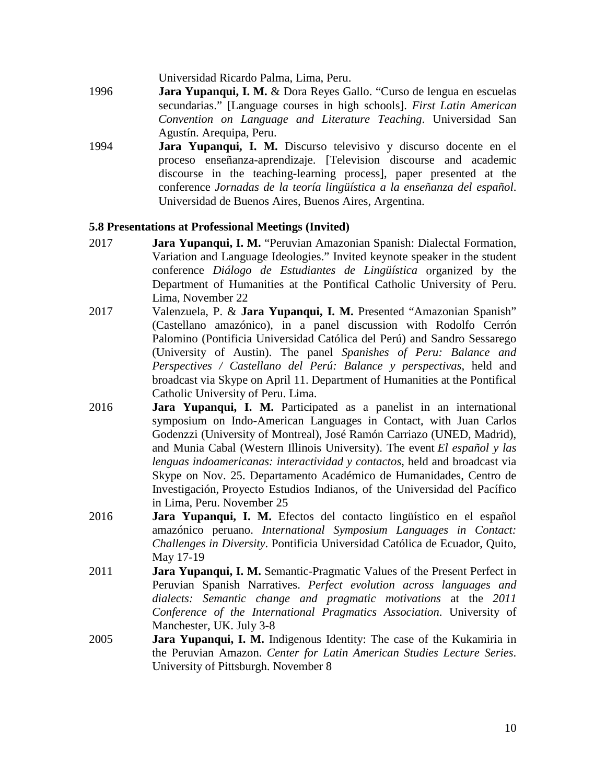Universidad Ricardo Palma, Lima, Peru.

- 1996 **Jara Yupanqui, I. M.** & Dora Reyes Gallo. "Curso de lengua en escuelas secundarias." [Language courses in high schools]. *First Latin American Convention on Language and Literature Teaching*. Universidad San Agustín. Arequipa, Peru.
- 1994 **Jara Yupanqui, I. M.** Discurso televisivo y discurso docente en el proceso enseñanza-aprendizaje. [Television discourse and academic discourse in the teaching-learning process], paper presented at the conference *Jornadas de la teoría lingüística a la enseñanza del español*. Universidad de Buenos Aires, Buenos Aires, Argentina.

#### **5.8 Presentations at Professional Meetings (Invited)**

- 2017 **Jara Yupanqui, I. M.** "Peruvian Amazonian Spanish: Dialectal Formation, Variation and Language Ideologies." Invited keynote speaker in the student conference *Diálogo de Estudiantes de Lingüística* organized by the Department of Humanities at the Pontifical Catholic University of Peru. Lima, November 22
- 2017 Valenzuela, P. & **Jara Yupanqui, I. M.** Presented "Amazonian Spanish" (Castellano amazónico), in a panel discussion with Rodolfo Cerrón Palomino (Pontificia Universidad Católica del Perú) and Sandro Sessarego (University of Austin). The panel *Spanishes of Peru: Balance and Perspectives / Castellano del Perú: Balance y perspectivas*, held and broadcast via Skype on April 11. Department of Humanities at the Pontifical Catholic University of Peru. Lima.
- 2016 **Jara Yupanqui, I. M.** Participated as a panelist in an international symposium on Indo-American Languages in Contact, with Juan Carlos Godenzzi (University of Montreal), José Ramón Carriazo (UNED, Madrid), and Munia Cabal (Western Illinois University). The event *El español y las lenguas indoamericanas: interactividad y contactos*, held and broadcast via Skype on Nov. 25. Departamento Académico de Humanidades, Centro de Investigación, Proyecto Estudios Indianos, of the Universidad del Pacífico in Lima, Peru. November 25
- 2016 **Jara Yupanqui, I. M.** Efectos del contacto lingüístico en el español amazónico peruano. *International Symposium Languages in Contact: Challenges in Diversity*. Pontificia Universidad Católica de Ecuador, Quito, May 17-19
- 2011 **Jara Yupanqui, I. M.** Semantic-Pragmatic Values of the Present Perfect in Peruvian Spanish Narratives. *Perfect evolution across languages and dialects: Semantic change and pragmatic motivations* at the *2011 Conference of the International Pragmatics Association*. University of Manchester, UK. July 3-8
- 2005 **Jara Yupanqui, I. M.** Indigenous Identity: The case of the Kukamiria in the Peruvian Amazon. *Center for Latin American Studies Lecture Series*. University of Pittsburgh. November 8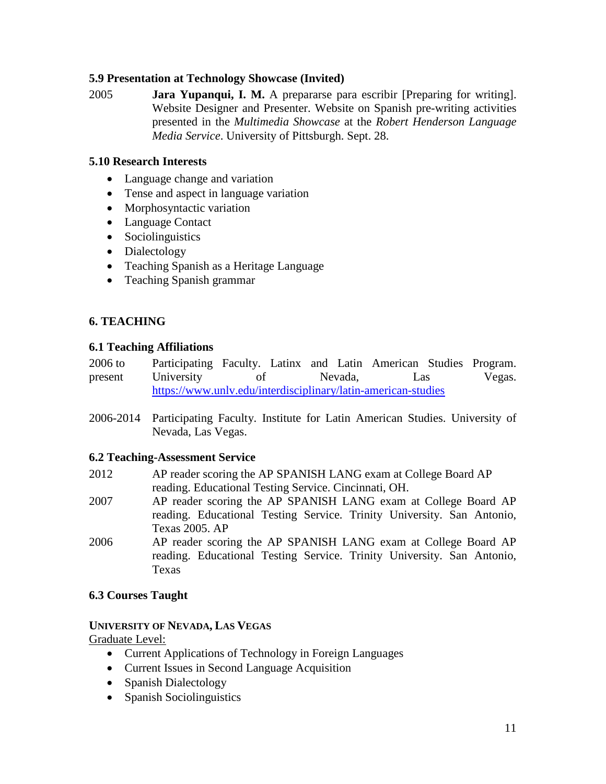# **5.9 Presentation at Technology Showcase (Invited)**

2005 **Jara Yupanqui, I. M.** A prepararse para escribir [Preparing for writing]. Website Designer and Presenter. Website on Spanish pre-writing activities presented in the *Multimedia Showcase* at the *Robert Henderson Language Media Service*. University of Pittsburgh. Sept. 28.

# **5.10 Research Interests**

- Language change and variation
- Tense and aspect in language variation
- Morphosyntactic variation
- Language Contact
- Sociolinguistics
- Dialectology
- Teaching Spanish as a Heritage Language
- Teaching Spanish grammar

# **6. TEACHING**

# **6.1 Teaching Affiliations**

2006 to present Participating Faculty. Latinx and Latin American Studies Program. University of Nevada, Las Vegas. <https://www.unlv.edu/interdisciplinary/latin-american-studies>

2006-2014 Participating Faculty. Institute for Latin American Studies. University of Nevada, Las Vegas.

# **6.2 Teaching-Assessment Service**

- 2012 AP reader scoring the AP SPANISH LANG exam at College Board AP reading. Educational Testing Service. Cincinnati, OH.
- 2007 AP reader scoring the AP SPANISH LANG exam at College Board AP reading. Educational Testing Service. Trinity University. San Antonio, Texas 2005. AP
- 2006 AP reader scoring the AP SPANISH LANG exam at College Board AP reading. Educational Testing Service. Trinity University. San Antonio, Texas

# **6.3 Courses Taught**

## **UNIVERSITY OF NEVADA, LAS VEGAS**

Graduate Level:

- Current Applications of Technology in Foreign Languages
- Current Issues in Second Language Acquisition
- Spanish Dialectology
- Spanish Sociolinguistics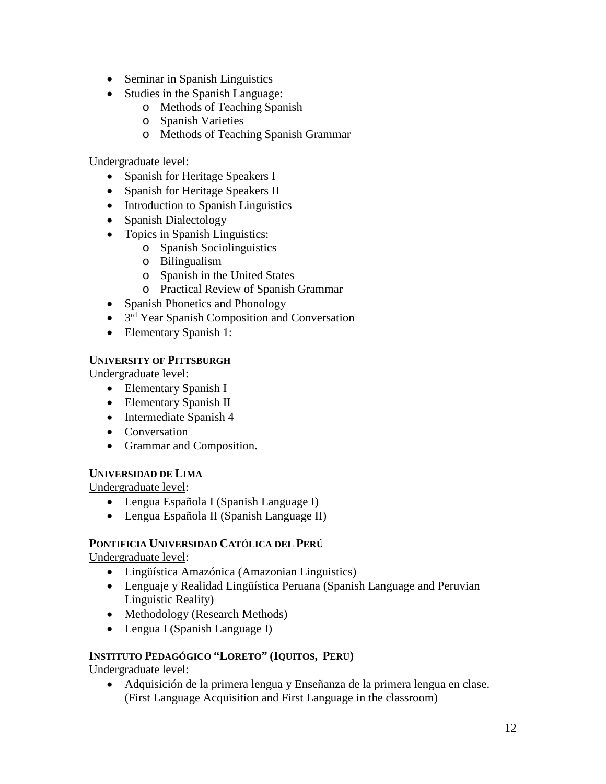- Seminar in Spanish Linguistics
- Studies in the Spanish Language:
	- o Methods of Teaching Spanish
	- o Spanish Varieties
	- o Methods of Teaching Spanish Grammar

Undergraduate level:

- Spanish for Heritage Speakers I
- Spanish for Heritage Speakers II
- Introduction to Spanish Linguistics
- Spanish Dialectology
- Topics in Spanish Linguistics:
	- o Spanish Sociolinguistics
	- o Bilingualism
	- o Spanish in the United States
	- o Practical Review of Spanish Grammar
- Spanish Phonetics and Phonology
- 3<sup>rd</sup> Year Spanish Composition and Conversation
- Elementary Spanish 1:

# **UNIVERSITY OF PITTSBURGH**

Undergraduate level:

- Elementary Spanish I
- Elementary Spanish II
- Intermediate Spanish 4
- Conversation
- Grammar and Composition.

# **UNIVERSIDAD DE LIMA**

Undergraduate level:

- Lengua Española I (Spanish Language I)
- Lengua Española II (Spanish Language II)

# **PONTIFICIA UNIVERSIDAD CATÓLICA DEL PERÚ**

Undergraduate level:

- Lingüística Amazónica (Amazonian Linguistics)
- Lenguaje y Realidad Lingüística Peruana (Spanish Language and Peruvian Linguistic Reality)
- Methodology (Research Methods)
- Lengua I (Spanish Language I)

# **INSTITUTO PEDAGÓGICO "LORETO" (IQUITOS, PERU)**

Undergraduate level:

• Adquisición de la primera lengua y Enseñanza de la primera lengua en clase. (First Language Acquisition and First Language in the classroom)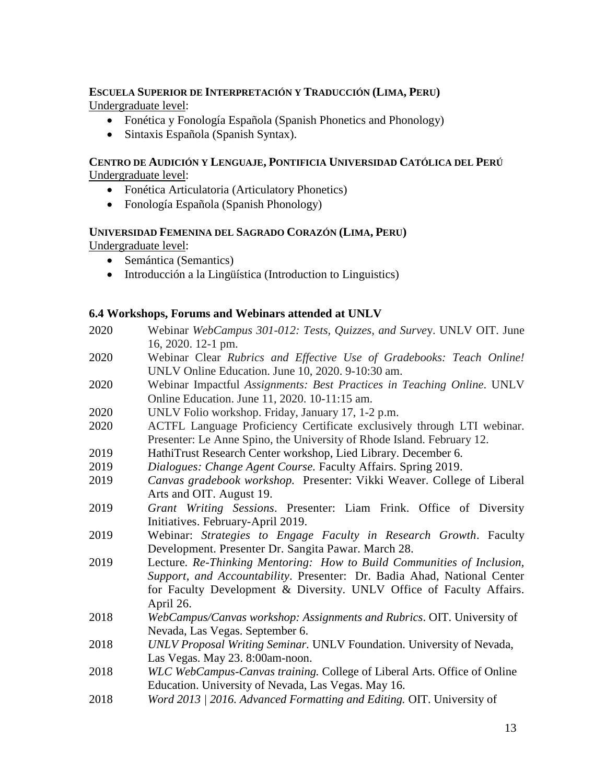# **ESCUELA SUPERIOR DE INTERPRETACIÓN Y TRADUCCIÓN (LIMA, PERU)** Undergraduate level:

- Fonética y Fonología Española (Spanish Phonetics and Phonology)
- Sintaxis Española (Spanish Syntax).

## **CENTRO DE AUDICIÓN Y LENGUAJE, PONTIFICIA UNIVERSIDAD CATÓLICA DEL PERÚ**  Undergraduate level:

- Fonética Articulatoria (Articulatory Phonetics)
- Fonología Española (Spanish Phonology)

# **UNIVERSIDAD FEMENINA DEL SAGRADO CORAZÓN (LIMA, PERU)**

Undergraduate level:

- Semántica (Semantics)
- Introducción a la Lingüística (Introduction to Linguistics)

# **6.4 Workshops, Forums and Webinars attended at UNLV**

- 2020 Webinar *WebCampus 301-012: Tests, Quizzes, and Surve*y. UNLV OIT. June 16, 2020. 12-1 pm.
- 2020 Webinar Clear *Rubrics and Effective Use of Gradebooks: Teach Online!* UNLV Online Education. June 10, 2020. 9-10:30 am.
- 2020 Webinar Impactful *Assignments: Best Practices in Teaching Online*. UNLV Online Education. June 11, 2020. 10-11:15 am.
- 2020 UNLV Folio workshop. Friday, January 17, 1-2 p.m.
- 2020 ACTFL Language Proficiency Certificate exclusively through LTI webinar. Presenter: Le Anne Spino, the University of Rhode Island. February 12.
- 2019 HathiTrust Research Center workshop, Lied Library. December 6.
- 2019 *Dialogues: Change Agent Course.* Faculty Affairs. Spring 2019.
- 2019 *Canvas gradebook workshop.* Presenter: Vikki Weaver. College of Liberal Arts and OIT. August 19.
- 2019 *Grant Writing Sessions*. Presenter: Liam Frink. Office of Diversity Initiatives. February-April 2019.
- 2019 Webinar: *Strategies to Engage Faculty in Research Growth*. Faculty Development. Presenter Dr. Sangita Pawar. March 28.
- 2019 Lecture*. Re-Thinking Mentoring: How to Build Communities of Inclusion, Support, and Accountability*. Presenter: Dr. Badia Ahad, National Center for Faculty Development & Diversity. UNLV Office of Faculty Affairs. April 26.
- 2018 *WebCampus/Canvas workshop: Assignments and Rubrics*. OIT. University of Nevada, Las Vegas. September 6.
- 2018 *UNLV Proposal Writing Seminar.* UNLV Foundation. University of Nevada, Las Vegas. May 23. 8:00am-noon.
- 2018 *WLC WebCampus-Canvas training.* College of Liberal Arts. Office of Online Education. University of Nevada, Las Vegas. May 16.
- 2018 *Word 2013 | 2016. Advanced Formatting and Editing.* OIT. University of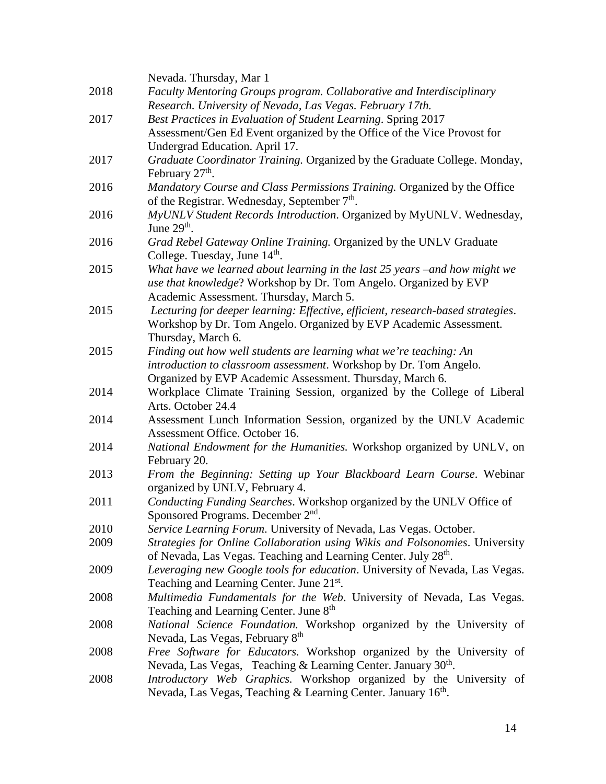|      | Nevada. Thursday, Mar 1                                                                                   |
|------|-----------------------------------------------------------------------------------------------------------|
| 2018 | Faculty Mentoring Groups program. Collaborative and Interdisciplinary                                     |
|      | Research. University of Nevada, Las Vegas. February 17th.                                                 |
| 2017 | Best Practices in Evaluation of Student Learning. Spring 2017                                             |
|      | Assessment/Gen Ed Event organized by the Office of the Vice Provost for<br>Undergrad Education. April 17. |
| 2017 | Graduate Coordinator Training. Organized by the Graduate College. Monday,                                 |
|      | February 27 <sup>th</sup> .                                                                               |
| 2016 | Mandatory Course and Class Permissions Training. Organized by the Office                                  |
|      | of the Registrar. Wednesday, September 7 <sup>th</sup> .                                                  |
| 2016 | MyUNLV Student Records Introduction. Organized by MyUNLV. Wednesday,                                      |
|      | June $29th$ .                                                                                             |
| 2016 | Grad Rebel Gateway Online Training. Organized by the UNLV Graduate                                        |
|      | College. Tuesday, June 14 <sup>th</sup> .                                                                 |
| 2015 | What have we learned about learning in the last 25 years – and how might we                               |
|      | use that knowledge? Workshop by Dr. Tom Angelo. Organized by EVP                                          |
|      | Academic Assessment. Thursday, March 5.                                                                   |
| 2015 | Lecturing for deeper learning: Effective, efficient, research-based strategies.                           |
|      | Workshop by Dr. Tom Angelo. Organized by EVP Academic Assessment.                                         |
|      | Thursday, March 6.                                                                                        |
| 2015 | Finding out how well students are learning what we're teaching: An                                        |
|      | introduction to classroom assessment. Workshop by Dr. Tom Angelo.                                         |
|      | Organized by EVP Academic Assessment. Thursday, March 6.                                                  |
| 2014 | Workplace Climate Training Session, organized by the College of Liberal                                   |
|      | Arts. October 24.4                                                                                        |
| 2014 | Assessment Lunch Information Session, organized by the UNLV Academic                                      |
|      | Assessment Office. October 16.                                                                            |
| 2014 | National Endowment for the Humanities. Workshop organized by UNLV, on                                     |
|      | February 20.                                                                                              |
| 2013 | From the Beginning: Setting up Your Blackboard Learn Course. Webinar                                      |
|      | organized by UNLV, February 4.                                                                            |
| 2011 | Conducting Funding Searches. Workshop organized by the UNLV Office of                                     |
|      | Sponsored Programs. December 2 <sup>nd</sup> .                                                            |
| 2010 | Service Learning Forum. University of Nevada, Las Vegas. October.                                         |
| 2009 | Strategies for Online Collaboration using Wikis and Folsonomies. University                               |
|      | of Nevada, Las Vegas. Teaching and Learning Center. July 28 <sup>th</sup> .                               |
| 2009 | Leveraging new Google tools for education. University of Nevada, Las Vegas.                               |
|      | Teaching and Learning Center. June 21st.                                                                  |
| 2008 | Multimedia Fundamentals for the Web. University of Nevada, Las Vegas.                                     |
|      | Teaching and Learning Center. June 8 <sup>th</sup>                                                        |
| 2008 | National Science Foundation. Workshop organized by the University of                                      |
|      | Nevada, Las Vegas, February 8 <sup>th</sup>                                                               |
| 2008 | Free Software for Educators. Workshop organized by the University of                                      |
|      | Nevada, Las Vegas, Teaching & Learning Center. January 30 <sup>th</sup> .                                 |
| 2008 | Introductory Web Graphics. Workshop organized by the University of                                        |
|      | Nevada, Las Vegas, Teaching & Learning Center. January 16th.                                              |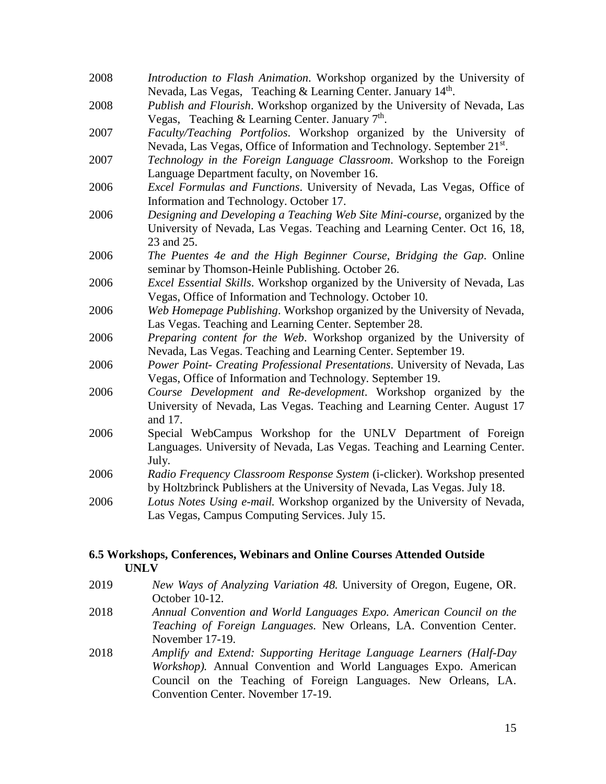- 2008 *Introduction to Flash Animation*. Workshop organized by the University of Nevada, Las Vegas, Teaching & Learning Center. January 14<sup>th</sup>.
- 2008 *Publish and Flourish*. Workshop organized by the University of Nevada, Las Vegas, Teaching & Learning Center. January  $7<sup>th</sup>$ .
- 2007 *Faculty/Teaching Portfolios*. Workshop organized by the University of Nevada, Las Vegas, Office of Information and Technology. September 21<sup>st</sup>.
- 2007 *Technology in the Foreign Language Classroom*. Workshop to the Foreign Language Department faculty, on November 16.
- 2006 *Excel Formulas and Functions*. University of Nevada, Las Vegas, Office of Information and Technology. October 17.
- 2006 *Designing and Developing a Teaching Web Site Mini-course*, organized by the University of Nevada, Las Vegas. Teaching and Learning Center. Oct 16, 18, 23 and 25.
- 2006 *The Puentes 4e and the High Beginner Course*, *Bridging the Gap*. Online seminar by Thomson-Heinle Publishing. October 26.
- 2006 *Excel Essential Skills*. Workshop organized by the University of Nevada, Las Vegas, Office of Information and Technology. October 10.
- 2006 *Web Homepage Publishing*. Workshop organized by the University of Nevada, Las Vegas. Teaching and Learning Center. September 28.
- 2006 *Preparing content for the Web*. Workshop organized by the University of Nevada, Las Vegas. Teaching and Learning Center. September 19.
- 2006 *Power Point- Creating Professional Presentations*. University of Nevada, Las Vegas, Office of Information and Technology. September 19.
- 2006 *Course Development and Re-development*. Workshop organized by the University of Nevada, Las Vegas. Teaching and Learning Center. August 17 and 17.
- 2006 Special WebCampus Workshop for the UNLV Department of Foreign Languages. University of Nevada, Las Vegas. Teaching and Learning Center. July.
- 2006 *Radio Frequency Classroom Response System* (i-clicker). Workshop presented by Holtzbrinck Publishers at the University of Nevada, Las Vegas. July 18.
- 2006 *Lotus Notes Using e-mail.* Workshop organized by the University of Nevada, Las Vegas, Campus Computing Services. July 15.

## **6.5 Workshops, Conferences, Webinars and Online Courses Attended Outside UNLV**

- 2019 *New Ways of Analyzing Variation 48.* University of Oregon, Eugene, OR. October 10-12.
- 2018 *Annual Convention and World Languages Expo. American Council on the Teaching of Foreign Languages.* New Orleans, LA. Convention Center. November 17-19.
- 2018 *Amplify and Extend: Supporting Heritage Language Learners (Half-Day Workshop).* Annual Convention and World Languages Expo. American Council on the Teaching of Foreign Languages. New Orleans, LA. Convention Center. November 17-19.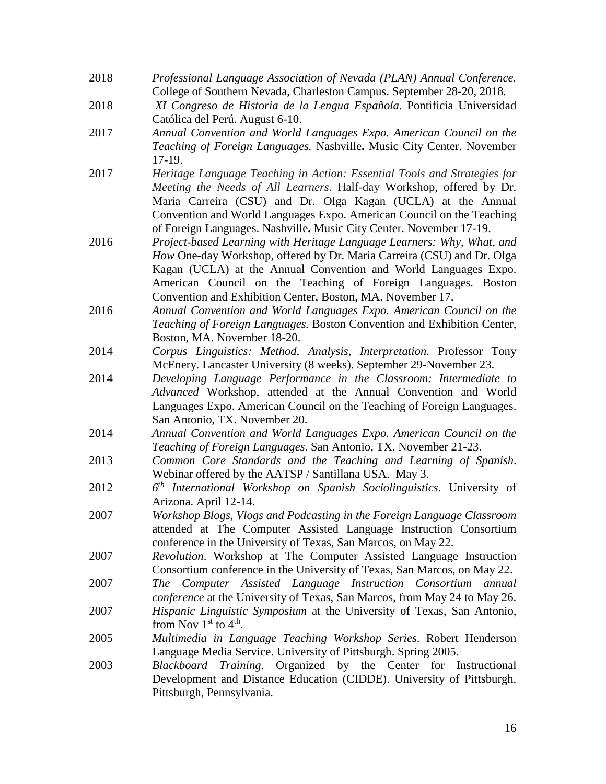- 2018 *Professional Language Association of Nevada (PLAN) Annual Conference.*  College of Southern Nevada, Charleston Campus. September 28-20, 2018*.*
- 2018 *XI Congreso de Historia de la Lengua Española.* Pontificia Universidad Católica del Perú. August 6-10.
- 2017 *Annual Convention and World Languages Expo. American Council on the Teaching of Foreign Languages.* Nashville**.** Music City Center. November 17-19.
- 2017 *Heritage Language Teaching in Action: Essential Tools and Strategies for Meeting the Needs of All Learners*. Half-day Workshop, offered by Dr. Maria Carreira (CSU) and Dr. Olga Kagan (UCLA) at the Annual Convention and World Languages Expo. American Council on the Teaching of Foreign Languages. Nashville**.** Music City Center. November 17-19.
- 2016 *Project-based Learning with Heritage Language Learners: Why, What, and How* One-day Workshop, offered by Dr. Maria Carreira (CSU) and Dr. Olga Kagan (UCLA) at the Annual Convention and World Languages Expo. American Council on the Teaching of Foreign Languages. Boston Convention and Exhibition Center, Boston, MA. November 17.
- 2016 *Annual Convention and World Languages Expo. American Council on the Teaching of Foreign Languages.* Boston Convention and Exhibition Center, Boston, MA. November 18-20.
- 2014 *Corpus Linguistics: Method, Analysis, Interpretation*. Professor Tony McEnery. Lancaster University (8 weeks). September 29-November 23.
- 2014 *Developing Language Performance in the Classroom: Intermediate to Advanced* Workshop, attended at the Annual Convention and World Languages Expo. American Council on the Teaching of Foreign Languages. San Antonio, TX. November 20.
- 2014 *Annual Convention and World Languages Expo. American Council on the Teaching of Foreign Languages*. San Antonio, TX. November 21-23.
- 2013 *Common Core Standards and the Teaching and Learning of Spanish*. Webinar offered by the AATSP / Santillana USA. May 3.
- 2012 *6th International Workshop on Spanish Sociolinguistics*. University of Arizona. April 12-14.
- 2007 *Workshop Blogs, Vlogs and Podcasting in the Foreign Language Classroom* attended at The Computer Assisted Language Instruction Consortium conference in the University of Texas, San Marcos, on May 22.
- 2007 *Revolution*. Workshop at The Computer Assisted Language Instruction Consortium conference in the University of Texas, San Marcos, on May 22.
- 2007 *The Computer Assisted Language Instruction Consortium annual conference* at the University of Texas, San Marcos, from May 24 to May 26.
- 2007 *Hispanic Linguistic Symposium* at the University of Texas, San Antonio, from Nov  $1<sup>st</sup>$  to  $4<sup>th</sup>$ .
- 2005 *Multimedia in Language Teaching Workshop Series*. Robert Henderson Language Media Service. University of Pittsburgh. Spring 2005.
- 2003 *Blackboard Training.* Organized by the Center for Instructional Development and Distance Education (CIDDE). University of Pittsburgh. Pittsburgh, Pennsylvania.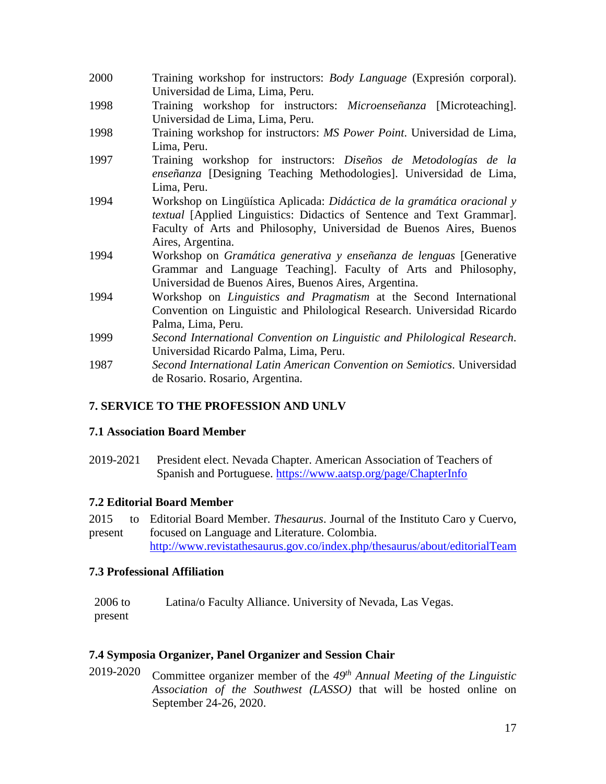| 2000 | Training workshop for instructors: Body Language (Expresión corporal).<br>Universidad de Lima, Lima, Peru.                                                                                                                                     |
|------|------------------------------------------------------------------------------------------------------------------------------------------------------------------------------------------------------------------------------------------------|
| 1998 | Training workshop for instructors: <i>Microenseñanza</i> [Microteaching].<br>Universidad de Lima, Lima, Peru.                                                                                                                                  |
| 1998 | Training workshop for instructors: MS Power Point. Universidad de Lima,<br>Lima, Peru.                                                                                                                                                         |
| 1997 | Training workshop for instructors: Diseños de Metodologías de la<br>enseñanza [Designing Teaching Methodologies]. Universidad de Lima,                                                                                                         |
| 1994 | Lima, Peru.<br>Workshop on Lingüística Aplicada: Didáctica de la gramática oracional y<br><i>textual</i> [Applied Linguistics: Didactics of Sentence and Text Grammar].<br>Faculty of Arts and Philosophy, Universidad de Buenos Aires, Buenos |
| 1994 | Aires, Argentina.<br>Workshop on Gramática generativa y enseñanza de lenguas [Generative<br>Grammar and Language Teaching. Faculty of Arts and Philosophy,<br>Universidad de Buenos Aires, Buenos Aires, Argentina.                            |
| 1994 | Workshop on <i>Linguistics and Pragmatism</i> at the Second International<br>Convention on Linguistic and Philological Research. Universidad Ricardo<br>Palma, Lima, Peru.                                                                     |
| 1999 | Second International Convention on Linguistic and Philological Research.<br>Universidad Ricardo Palma, Lima, Peru.                                                                                                                             |
| 1987 | Second International Latin American Convention on Semiotics. Universidad<br>de Rosario. Rosario, Argentina.                                                                                                                                    |

# **7. SERVICE TO THE PROFESSION AND UNLV**

# **7.1 Association Board Member**

2019-2021 President elect. Nevada Chapter. American Association of Teachers of Spanish and Portuguese.<https://www.aatsp.org/page/ChapterInfo>

# **7.2 Editorial Board Member**

2015 present Editorial Board Member. *Thesaurus*. Journal of the Instituto Caro y Cuervo, focused on Language and Literature. Colombia. <http://www.revistathesaurus.gov.co/index.php/thesaurus/about/editorialTeam>

# **7.3 Professional Affiliation**

2006 to present Latina/o Faculty Alliance. University of Nevada, Las Vegas.

# **7.4 Symposia Organizer, Panel Organizer and Session Chair**

2019-2020 Committee organizer member of the *49th Annual Meeting of the Linguistic Association of the Southwest (LASSO)* that will be hosted online on September 24-26, 2020.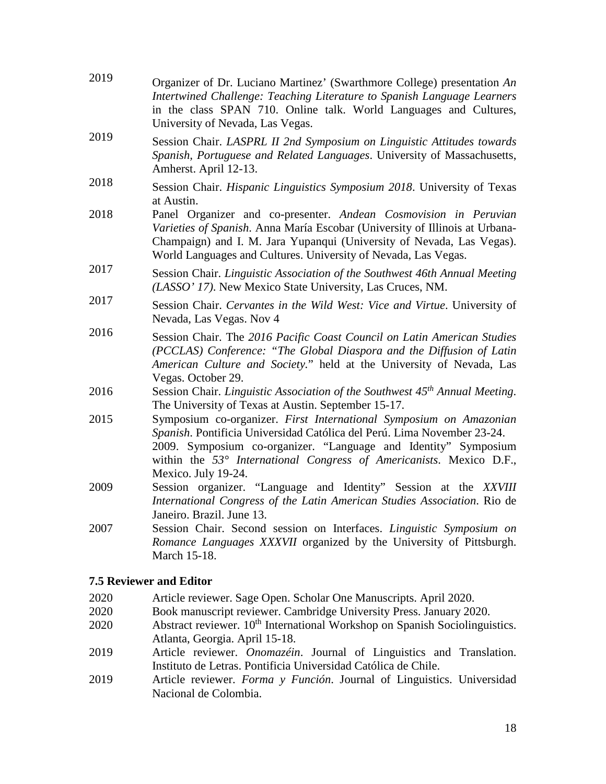| 2019 | Organizer of Dr. Luciano Martinez' (Swarthmore College) presentation An<br>Intertwined Challenge: Teaching Literature to Spanish Language Learners<br>in the class SPAN 710. Online talk. World Languages and Cultures,<br>University of Nevada, Las Vegas.                                                    |
|------|----------------------------------------------------------------------------------------------------------------------------------------------------------------------------------------------------------------------------------------------------------------------------------------------------------------|
| 2019 | Session Chair. LASPRL II 2nd Symposium on Linguistic Attitudes towards<br>Spanish, Portuguese and Related Languages. University of Massachusetts,<br>Amherst. April 12-13.                                                                                                                                     |
| 2018 | Session Chair. Hispanic Linguistics Symposium 2018. University of Texas<br>at Austin.                                                                                                                                                                                                                          |
| 2018 | Panel Organizer and co-presenter. Andean Cosmovision in Peruvian<br>Varieties of Spanish. Anna María Escobar (University of Illinois at Urbana-<br>Champaign) and I. M. Jara Yupanqui (University of Nevada, Las Vegas).<br>World Languages and Cultures. University of Nevada, Las Vegas.                     |
| 2017 | Session Chair. Linguistic Association of the Southwest 46th Annual Meeting<br>(LASSO' 17). New Mexico State University, Las Cruces, NM.                                                                                                                                                                        |
| 2017 | Session Chair. Cervantes in the Wild West: Vice and Virtue. University of<br>Nevada, Las Vegas. Nov 4                                                                                                                                                                                                          |
| 2016 | Session Chair. The 2016 Pacific Coast Council on Latin American Studies<br>(PCCLAS) Conference: "The Global Diaspora and the Diffusion of Latin<br>American Culture and Society." held at the University of Nevada, Las<br>Vegas. October 29.                                                                  |
| 2016 | Session Chair. Linguistic Association of the Southwest 45 <sup>th</sup> Annual Meeting.<br>The University of Texas at Austin. September 15-17.                                                                                                                                                                 |
| 2015 | Symposium co-organizer. First International Symposium on Amazonian<br>Spanish. Pontificia Universidad Católica del Perú. Lima November 23-24.<br>2009. Symposium co-organizer. "Language and Identity" Symposium<br>within the 53° International Congress of Americanists. Mexico D.F.,<br>Mexico. July 19-24. |
| 2009 | Session organizer. "Language and Identity" Session at the XXVIII<br>International Congress of the Latin American Studies Association. Rio de<br>Janeiro. Brazil. June 13.                                                                                                                                      |
| 2007 | Session Chair. Second session on Interfaces. Linguistic Symposium on<br>Romance Languages XXXVII organized by the University of Pittsburgh.<br>March 15-18.                                                                                                                                                    |
|      |                                                                                                                                                                                                                                                                                                                |

## **7.5 Reviewer and Editor**

- 2020 Article reviewer. Sage Open. Scholar One Manuscripts. April 2020.<br>2020 Book manuscript reviewer. Cambridge University Press. January 2020
- 2020 Book manuscript reviewer. Cambridge University Press. January 2020.
- 2020 Abstract reviewer. 10<sup>th</sup> International Workshop on Spanish Sociolinguistics. Atlanta, Georgia. April 15-18.
- 2019 Article reviewer. *Onomazéin*. Journal of Linguistics and Translation. Instituto de Letras. Pontificia Universidad Católica de Chile.
- 2019 Article reviewer. *Forma y Función*. Journal of Linguistics. Universidad Nacional de Colombia.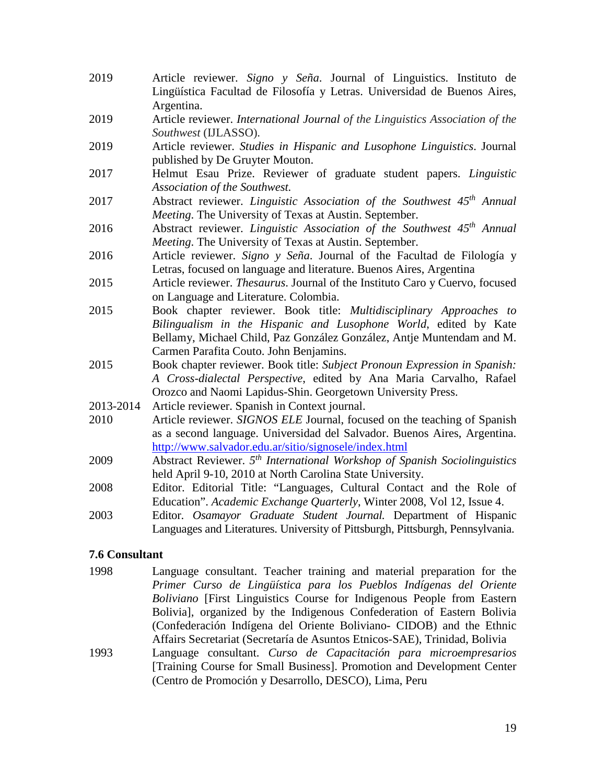- 2019 Article reviewer. *Signo y Seña*. Journal of Linguistics. Instituto de Lingüística Facultad de Filosofía y Letras. Universidad de Buenos Aires, Argentina.
- 2019 Article reviewer. *International Journal of the Linguistics Association of the Southwest* (IJLASSO).
- 2019 Article reviewer. *Studies in Hispanic and Lusophone Linguistics*. Journal published by De Gruyter Mouton.
- 2017 Helmut Esau Prize. Reviewer of graduate student papers. *Linguistic Association of the Southwest.*
- 2017 Abstract reviewer. *Linguistic Association of the Southwest 45th Annual Meeting*. The University of Texas at Austin. September.
- 2016 Abstract reviewer. *Linguistic Association of the Southwest 45th Annual Meeting*. The University of Texas at Austin. September.
- 2016 Article reviewer. *Signo y Seña*. Journal of the Facultad de Filología y Letras, focused on language and literature. Buenos Aires, Argentina
- 2015 Article reviewer. *Thesaurus*. Journal of the Instituto Caro y Cuervo, focused on Language and Literature. Colombia.
- 2015 Book chapter reviewer. Book title: *Multidisciplinary Approaches to Bilingualism in the Hispanic and Lusophone World*, edited by Kate Bellamy, Michael Child, Paz González González, Antje Muntendam and M. Carmen Parafita Couto. John Benjamins.
- 2015 Book chapter reviewer. Book title: *Subject Pronoun Expression in Spanish: A Cross-dialectal Perspective*, edited by Ana Maria Carvalho, Rafael Orozco and Naomi Lapidus-Shin. Georgetown University Press.
- 2013-2014 Article reviewer. Spanish in Context journal.
- 2010 Article reviewer. *SIGNOS ELE* Journal, focused on the teaching of Spanish as a second language. Universidad del Salvador. Buenos Aires, Argentina. <http://www.salvador.edu.ar/sitio/signosele/index.html>
- 2009 Abstract Reviewer. *5th International Workshop of Spanish Sociolinguistics* held April 9-10, 2010 at North Carolina State University.
- 2008 Editor. Editorial Title: "Languages, Cultural Contact and the Role of Education". *Academic Exchange Quarterly*, Winter 2008, Vol 12, Issue 4.
- 2003 Editor. *Osamayor Graduate Student Journal.* Department of Hispanic Languages and Literatures. University of Pittsburgh, Pittsburgh, Pennsylvania.

# **7.6 Consultant**

- 1998 Language consultant. Teacher training and material preparation for the *Primer Curso de Lingüística para los Pueblos Indígenas del Oriente Boliviano* [First Linguistics Course for Indigenous People from Eastern Bolivia], organized by the Indigenous Confederation of Eastern Bolivia (Confederación Indígena del Oriente Boliviano- CIDOB) and the Ethnic Affairs Secretariat (Secretaría de Asuntos Etnicos-SAE), Trinidad, Bolivia
- 1993 Language consultant. *Curso de Capacitación para microempresarios* [Training Course for Small Business]. Promotion and Development Center (Centro de Promoción y Desarrollo, DESCO), Lima, Peru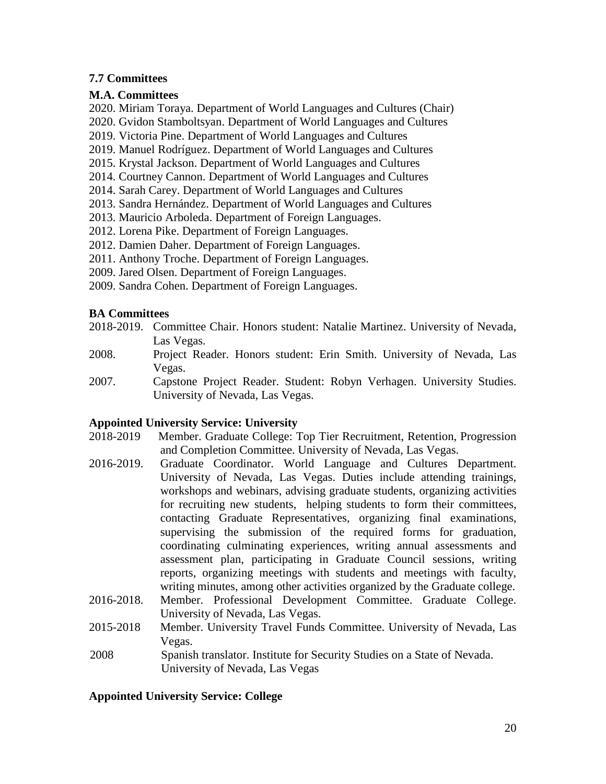# **7.7 Committees**

# **M.A. Committees**

2020. Miriam Toraya. Department of World Languages and Cultures (Chair)

2020. Gvidon Stamboltsyan. Department of World Languages and Cultures

2019. Victoria Pine. Department of World Languages and Cultures

2019. Manuel Rodríguez. Department of World Languages and Cultures

2015. Krystal Jackson. Department of World Languages and Cultures

2014. Courtney Cannon. Department of World Languages and Cultures

2014. Sarah Carey. Department of World Languages and Cultures

2013. Sandra Hernández. Department of World Languages and Cultures

2013. Mauricio Arboleda. Department of Foreign Languages.

2012. Lorena Pike. Department of Foreign Languages.

2012. Damien Daher. Department of Foreign Languages.

2011. Anthony Troche. Department of Foreign Languages.

2009. Jared Olsen. Department of Foreign Languages.

2009. Sandra Cohen. Department of Foreign Languages.

# **BA Committees**

- 2018-2019. Committee Chair. Honors student: Natalie Martinez. University of Nevada, Las Vegas.
- 2008. Project Reader. Honors student: Erin Smith. University of Nevada, Las Vegas.

2007. Capstone Project Reader. Student: Robyn Verhagen. University Studies. University of Nevada, Las Vegas.

# **Appointed University Service: University**

- 2018-2019 Member. Graduate College: Top Tier Recruitment, Retention, Progression and Completion Committee. University of Nevada, Las Vegas.
- 2016-2019. Graduate Coordinator. World Language and Cultures Department. University of Nevada, Las Vegas. Duties include attending trainings, workshops and webinars, advising graduate students, organizing activities for recruiting new students, helping students to form their committees, contacting Graduate Representatives, organizing final examinations, supervising the submission of the required forms for graduation, coordinating culminating experiences, writing annual assessments and assessment plan, participating in Graduate Council sessions, writing reports, organizing meetings with students and meetings with faculty, writing minutes, among other activities organized by the Graduate college.
- 2016-2018. Member. Professional Development Committee. Graduate College. University of Nevada, Las Vegas.
- 2015-2018 Member. University Travel Funds Committee. University of Nevada, Las Vegas.
- 2008 Spanish translator. Institute for Security Studies on a State of Nevada. University of Nevada, Las Vegas

# **Appointed University Service: College**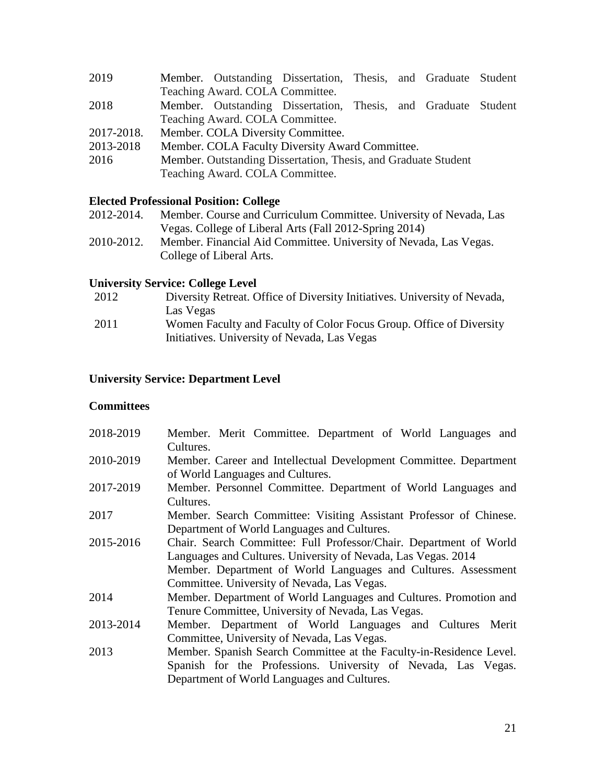- 2019 Member. Outstanding Dissertation, Thesis, and Graduate Student Teaching Award. COLA Committee.
- 2018 Member. Outstanding Dissertation, Thesis, and Graduate Student Teaching Award. COLA Committee.
- 2017-2018. Member. COLA Diversity Committee.
- 2013-2018 Member. COLA Faculty Diversity Award Committee.
- 2016 Member. Outstanding Dissertation, Thesis, and Graduate Student Teaching Award. COLA Committee.

# **Elected Professional Position: College**

- 2012-2014. Member. Course and Curriculum Committee. University of Nevada, Las Vegas. College of Liberal Arts (Fall 2012-Spring 2014)
- 2010-2012. Member. Financial Aid Committee. University of Nevada, Las Vegas. College of Liberal Arts.

# **University Service: College Level**

2012 Diversity Retreat. Office of Diversity Initiatives. University of Nevada, Las Vegas 2011 Women Faculty and Faculty of Color Focus Group. Office of Diversity Initiatives. University of Nevada, Las Vegas

# **University Service: Department Level**

## **Committees**

| 2018-2019 | Member. Merit Committee. Department of World Languages and<br>Cultures. |
|-----------|-------------------------------------------------------------------------|
| 2010-2019 | Member. Career and Intellectual Development Committee. Department       |
|           | of World Languages and Cultures.                                        |
| 2017-2019 | Member. Personnel Committee. Department of World Languages and          |
|           | Cultures.                                                               |
| 2017      | Member. Search Committee: Visiting Assistant Professor of Chinese.      |
|           | Department of World Languages and Cultures.                             |
| 2015-2016 | Chair. Search Committee: Full Professor/Chair. Department of World      |
|           | Languages and Cultures. University of Nevada, Las Vegas. 2014           |
|           | Member. Department of World Languages and Cultures. Assessment          |
|           | Committee. University of Nevada, Las Vegas.                             |
| 2014      | Member. Department of World Languages and Cultures. Promotion and       |
|           | Tenure Committee, University of Nevada, Las Vegas.                      |
| 2013-2014 | Member. Department of World Languages and Cultures Merit                |
|           | Committee, University of Nevada, Las Vegas.                             |
| 2013      | Member. Spanish Search Committee at the Faculty-in-Residence Level.     |
|           | Spanish for the Professions. University of Nevada, Las Vegas.           |
|           | Department of World Languages and Cultures.                             |
|           |                                                                         |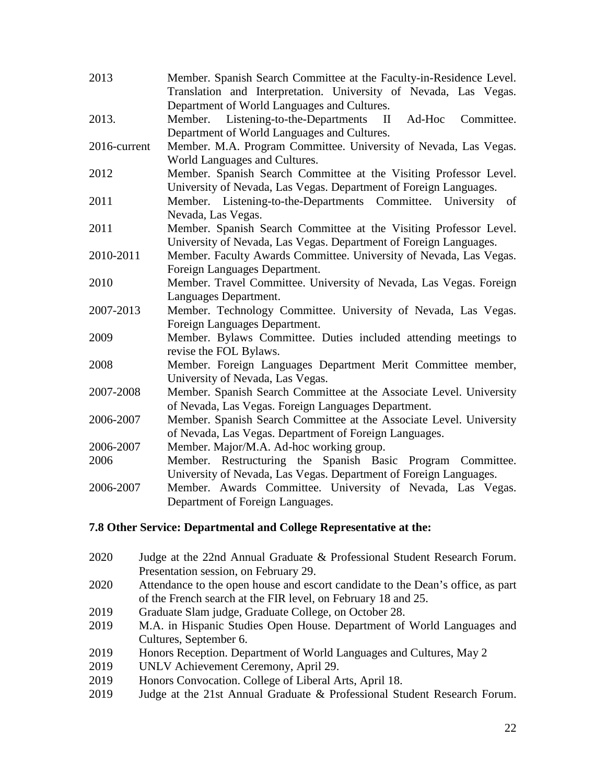| 2013         | Member. Spanish Search Committee at the Faculty-in-Residence Level.<br>Translation and Interpretation. University of Nevada, Las Vegas. |
|--------------|-----------------------------------------------------------------------------------------------------------------------------------------|
|              | Department of World Languages and Cultures.                                                                                             |
| 2013.        | Listening-to-the-Departments<br>Ad-Hoc<br>Committee.<br>Member.<br>$\mathbf{I}$                                                         |
|              | Department of World Languages and Cultures.                                                                                             |
| 2016-current | Member. M.A. Program Committee. University of Nevada, Las Vegas.                                                                        |
|              | World Languages and Cultures.                                                                                                           |
| 2012         | Member. Spanish Search Committee at the Visiting Professor Level.                                                                       |
|              | University of Nevada, Las Vegas. Department of Foreign Languages.                                                                       |
| 2011         | Member. Listening-to-the-Departments Committee. University of                                                                           |
|              | Nevada, Las Vegas.                                                                                                                      |
| 2011         | Member. Spanish Search Committee at the Visiting Professor Level.                                                                       |
|              | University of Nevada, Las Vegas. Department of Foreign Languages.                                                                       |
| 2010-2011    | Member. Faculty Awards Committee. University of Nevada, Las Vegas.                                                                      |
|              | Foreign Languages Department.                                                                                                           |
| 2010         | Member. Travel Committee. University of Nevada, Las Vegas. Foreign                                                                      |
|              | Languages Department.                                                                                                                   |
| 2007-2013    | Member. Technology Committee. University of Nevada, Las Vegas.                                                                          |
|              | Foreign Languages Department.                                                                                                           |
| 2009         | Member. Bylaws Committee. Duties included attending meetings to                                                                         |
|              | revise the FOL Bylaws.                                                                                                                  |
| 2008         | Member. Foreign Languages Department Merit Committee member,                                                                            |
|              | University of Nevada, Las Vegas.                                                                                                        |
| 2007-2008    | Member. Spanish Search Committee at the Associate Level. University                                                                     |
|              | of Nevada, Las Vegas. Foreign Languages Department.                                                                                     |
| 2006-2007    | Member. Spanish Search Committee at the Associate Level. University                                                                     |
|              | of Nevada, Las Vegas. Department of Foreign Languages.                                                                                  |
| 2006-2007    | Member. Major/M.A. Ad-hoc working group.                                                                                                |
| 2006         | Member. Restructuring the Spanish Basic Program Committee.                                                                              |
|              | University of Nevada, Las Vegas. Department of Foreign Languages.                                                                       |
| 2006-2007    | Member. Awards Committee. University of Nevada, Las Vegas.                                                                              |
|              | Department of Foreign Languages.                                                                                                        |

# **7.8 Other Service: Departmental and College Representative at the:**

- 2020 Judge at the 22nd Annual Graduate & Professional Student Research Forum. Presentation session, on February 29.
- 2020 Attendance to the open house and escort candidate to the Dean's office, as part of the French search at the FIR level, on February 18 and 25.
- 2019 Graduate Slam judge, Graduate College, on October 28.
- 2019 M.A. in Hispanic Studies Open House. Department of World Languages and Cultures, September 6.
- 2019 Honors Reception. Department of World Languages and Cultures, May 2
- 2019 UNLV Achievement Ceremony, April 29.
- 2019 Honors Convocation. College of Liberal Arts, April 18.
- 2019 Judge at the 21st Annual Graduate & Professional Student Research Forum.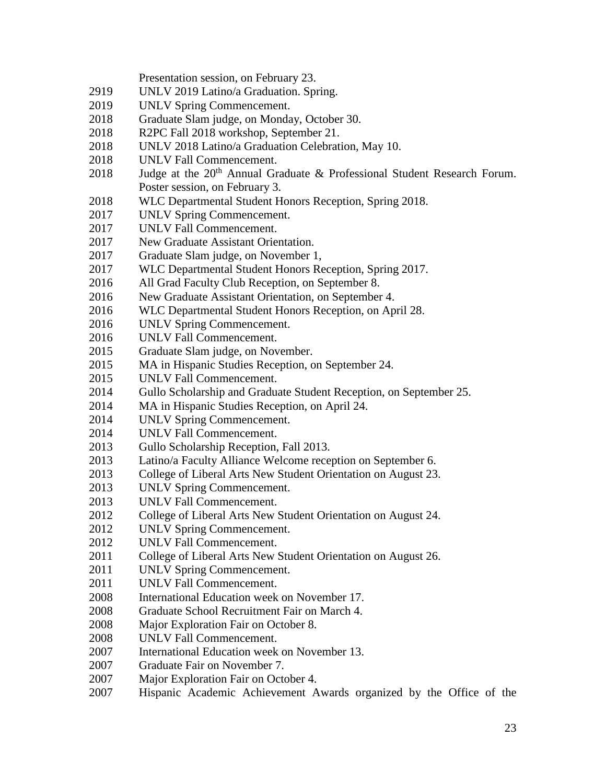Presentation session, on February 23.

- UNLV 2019 Latino/a Graduation. Spring.
- UNLV Spring Commencement.
- Graduate Slam judge, on Monday, October 30.
- R2PC Fall 2018 workshop, September 21.
- UNLV 2018 Latino/a Graduation Celebration, May 10.
- UNLV Fall Commencement.
- 2018 Judge at the  $20<sup>th</sup>$  Annual Graduate & Professional Student Research Forum. Poster session, on February 3.
- WLC Departmental Student Honors Reception, Spring 2018.
- UNLV Spring Commencement.
- UNLV Fall Commencement.
- New Graduate Assistant Orientation.
- Graduate Slam judge, on November 1,
- WLC Departmental Student Honors Reception, Spring 2017.
- All Grad Faculty Club Reception, on September 8.
- New Graduate Assistant Orientation, on September 4.
- WLC Departmental Student Honors Reception, on April 28.
- UNLV Spring Commencement.
- UNLV Fall Commencement.
- Graduate Slam judge, on November.
- MA in Hispanic Studies Reception, on September 24.
- UNLV Fall Commencement.
- Gullo Scholarship and Graduate Student Reception, on September 25.
- MA in Hispanic Studies Reception, on April 24.
- UNLV Spring Commencement.
- UNLV Fall Commencement.
- Gullo Scholarship Reception, Fall 2013.
- Latino/a Faculty Alliance Welcome reception on September 6.
- College of Liberal Arts New Student Orientation on August 23.
- UNLV Spring Commencement.
- UNLV Fall Commencement.
- College of Liberal Arts New Student Orientation on August 24.
- UNLV Spring Commencement.
- UNLV Fall Commencement.
- 2011 College of Liberal Arts New Student Orientation on August 26.
- UNLV Spring Commencement.
- UNLV Fall Commencement.
- International Education week on November 17.
- Graduate School Recruitment Fair on March 4.
- Major Exploration Fair on October 8.
- UNLV Fall Commencement.
- International Education week on November 13.
- Graduate Fair on November 7.
- Major Exploration Fair on October 4.
- Hispanic Academic Achievement Awards organized by the Office of the